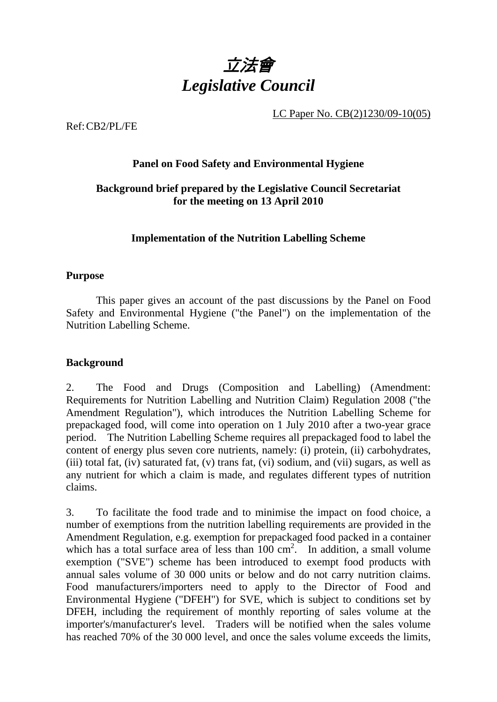

LC Paper No. CB(2)1230/09-10(05)

Ref: CB2/PL/FE

# **Panel on Food Safety and Environmental Hygiene**

# **Background brief prepared by the Legislative Council Secretariat for the meeting on 13 April 2010**

### **Implementation of the Nutrition Labelling Scheme**

#### **Purpose**

This paper gives an account of the past discussions by the Panel on Food Safety and Environmental Hygiene ("the Panel") on the implementation of the Nutrition Labelling Scheme.

#### **Background**

2. The Food and Drugs (Composition and Labelling) (Amendment: Requirements for Nutrition Labelling and Nutrition Claim) Regulation 2008 ("the Amendment Regulation"), which introduces the Nutrition Labelling Scheme for prepackaged food, will come into operation on 1 July 2010 after a two-year grace period. The Nutrition Labelling Scheme requires all prepackaged food to label the content of energy plus seven core nutrients, namely: (i) protein, (ii) carbohydrates, (iii) total fat, (iv) saturated fat, (v) trans fat, (vi) sodium, and (vii) sugars, as well as any nutrient for which a claim is made, and regulates different types of nutrition claims.

3. To facilitate the food trade and to minimise the impact on food choice, a number of exemptions from the nutrition labelling requirements are provided in the Amendment Regulation, e.g. exemption for prepackaged food packed in a container which has a total surface area of less than  $100 \text{ cm}^2$ . In addition, a small volume exemption ("SVE") scheme has been introduced to exempt food products with annual sales volume of 30 000 units or below and do not carry nutrition claims. Food manufacturers/importers need to apply to the Director of Food and Environmental Hygiene ("DFEH") for SVE, which is subject to conditions set by DFEH, including the requirement of monthly reporting of sales volume at the importer's/manufacturer's level. Traders will be notified when the sales volume has reached 70% of the 30 000 level, and once the sales volume exceeds the limits,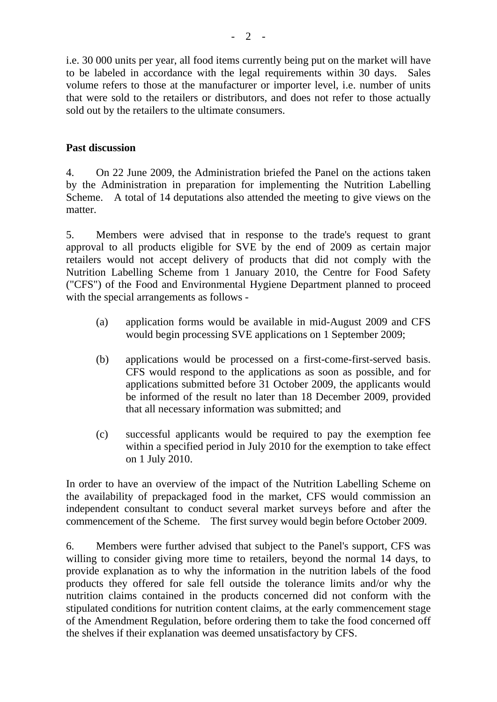i.e. 30 000 units per year, all food items currently being put on the market will have to be labeled in accordance with the legal requirements within 30 days. Sales volume refers to those at the manufacturer or importer level, i.e. number of units that were sold to the retailers or distributors, and does not refer to those actually sold out by the retailers to the ultimate consumers.

## **Past discussion**

4. On 22 June 2009, the Administration briefed the Panel on the actions taken by the Administration in preparation for implementing the Nutrition Labelling Scheme. A total of 14 deputations also attended the meeting to give views on the matter.

5. Members were advised that in response to the trade's request to grant approval to all products eligible for SVE by the end of 2009 as certain major retailers would not accept delivery of products that did not comply with the Nutrition Labelling Scheme from 1 January 2010, the Centre for Food Safety ("CFS") of the Food and Environmental Hygiene Department planned to proceed with the special arrangements as follows -

- (a) application forms would be available in mid-August 2009 and CFS would begin processing SVE applications on 1 September 2009;
- (b) applications would be processed on a first-come-first-served basis. CFS would respond to the applications as soon as possible, and for applications submitted before 31 October 2009, the applicants would be informed of the result no later than 18 December 2009, provided that all necessary information was submitted; and
- (c) successful applicants would be required to pay the exemption fee within a specified period in July 2010 for the exemption to take effect on 1 July 2010.

In order to have an overview of the impact of the Nutrition Labelling Scheme on the availability of prepackaged food in the market, CFS would commission an independent consultant to conduct several market surveys before and after the commencement of the Scheme. The first survey would begin before October 2009.

6. Members were further advised that subject to the Panel's support, CFS was willing to consider giving more time to retailers, beyond the normal 14 days, to provide explanation as to why the information in the nutrition labels of the food products they offered for sale fell outside the tolerance limits and/or why the nutrition claims contained in the products concerned did not conform with the stipulated conditions for nutrition content claims, at the early commencement stage of the Amendment Regulation, before ordering them to take the food concerned off the shelves if their explanation was deemed unsatisfactory by CFS.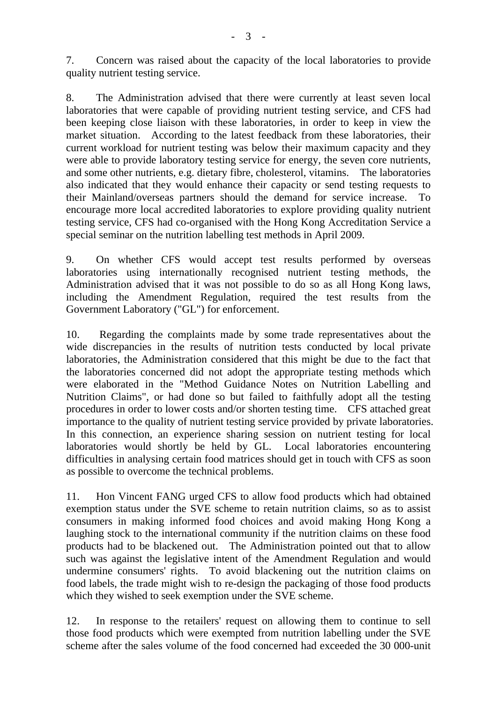7. Concern was raised about the capacity of the local laboratories to provide quality nutrient testing service.

8. The Administration advised that there were currently at least seven local laboratories that were capable of providing nutrient testing service, and CFS had been keeping close liaison with these laboratories, in order to keep in view the market situation. According to the latest feedback from these laboratories, their current workload for nutrient testing was below their maximum capacity and they were able to provide laboratory testing service for energy, the seven core nutrients, and some other nutrients, e.g. dietary fibre, cholesterol, vitamins. The laboratories also indicated that they would enhance their capacity or send testing requests to their Mainland/overseas partners should the demand for service increase. To encourage more local accredited laboratories to explore providing quality nutrient testing service, CFS had co-organised with the Hong Kong Accreditation Service a special seminar on the nutrition labelling test methods in April 2009.

9. On whether CFS would accept test results performed by overseas laboratories using internationally recognised nutrient testing methods, the Administration advised that it was not possible to do so as all Hong Kong laws, including the Amendment Regulation, required the test results from the Government Laboratory ("GL") for enforcement.

10. Regarding the complaints made by some trade representatives about the wide discrepancies in the results of nutrition tests conducted by local private laboratories, the Administration considered that this might be due to the fact that the laboratories concerned did not adopt the appropriate testing methods which were elaborated in the "Method Guidance Notes on Nutrition Labelling and Nutrition Claims", or had done so but failed to faithfully adopt all the testing procedures in order to lower costs and/or shorten testing time. CFS attached great importance to the quality of nutrient testing service provided by private laboratories. In this connection, an experience sharing session on nutrient testing for local laboratories would shortly be held by GL. Local laboratories encountering difficulties in analysing certain food matrices should get in touch with CFS as soon as possible to overcome the technical problems.

11. Hon Vincent FANG urged CFS to allow food products which had obtained exemption status under the SVE scheme to retain nutrition claims, so as to assist consumers in making informed food choices and avoid making Hong Kong a laughing stock to the international community if the nutrition claims on these food products had to be blackened out. The Administration pointed out that to allow such was against the legislative intent of the Amendment Regulation and would undermine consumers' rights. To avoid blackening out the nutrition claims on food labels, the trade might wish to re-design the packaging of those food products which they wished to seek exemption under the SVE scheme.

12. In response to the retailers' request on allowing them to continue to sell those food products which were exempted from nutrition labelling under the SVE scheme after the sales volume of the food concerned had exceeded the 30 000-unit